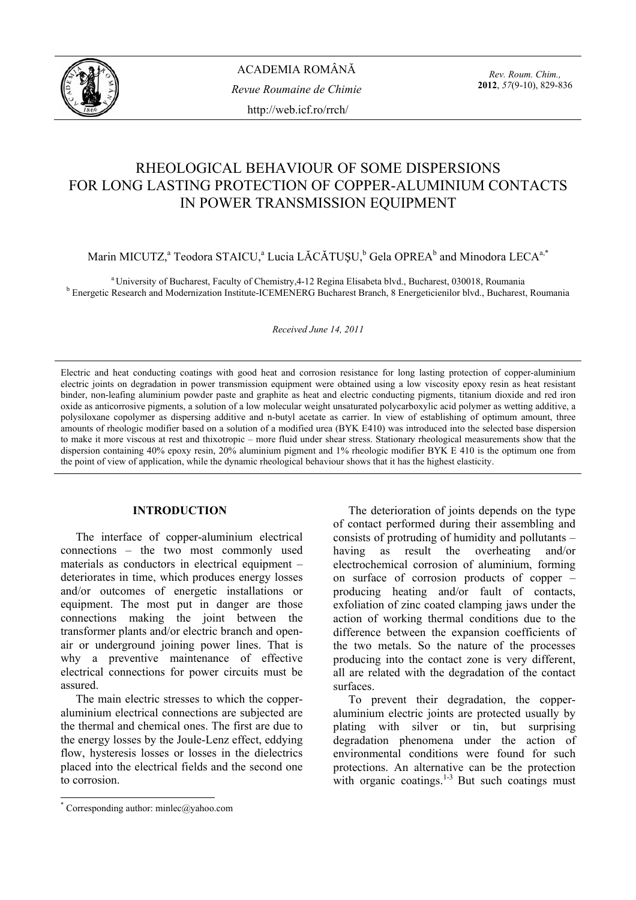

*Rev. Roum. Chim.,*  **2012**, *57*(9-10), 829-836

# RHEOLOGICAL BEHAVIOUR OF SOME DISPERSIONS FOR LONG LASTING PROTECTION OF COPPER-ALUMINIUM CONTACTS IN POWER TRANSMISSION EQUIPMENT

Marin MICUTZ,<sup>a</sup> Teodora STAICU,<sup>a</sup> Lucia LĂCĂTUȘU,<sup>b</sup> Gela OPREA<sup>b</sup> and Minodora LECA<sup>a,\*</sup>

<sup>a</sup> University of Bucharest, Faculty of Chemistry, 4-12 Regina Elisabeta blvd., Bucharest, 030018, Roumania **b** Energetic Research and Modernization Institute-ICEMENERG Bucharest Branch, 8 Energeticienilor blvd., Bucharest, Roumania

*Received June 14, 2011* 

Electric and heat conducting coatings with good heat and corrosion resistance for long lasting protection of copper-aluminium electric joints on degradation in power transmission equipment were obtained using a low viscosity epoxy resin as heat resistant binder, non-leafing aluminium powder paste and graphite as heat and electric conducting pigments, titanium dioxide and red iron oxide as anticorrosive pigments, a solution of a low molecular weight unsaturated polycarboxylic acid polymer as wetting additive, a polysiloxane copolymer as dispersing additive and n-butyl acetate as carrier. In view of establishing of optimum amount, three amounts of rheologic modifier based on a solution of a modified urea (BYK E410) was introduced into the selected base dispersion to make it more viscous at rest and thixotropic – more fluid under shear stress. Stationary rheological measurements show that the dispersion containing 40% epoxy resin, 20% aluminium pigment and 1% rheologic modifier BYK E 410 is the optimum one from the point of view of application, while the dynamic rheological behaviour shows that it has the highest elasticity.

# **INTRODUCTION**\*

The interface of copper-aluminium electrical connections – the two most commonly used materials as conductors in electrical equipment – deteriorates in time, which produces energy losses and/or outcomes of energetic installations or equipment. The most put in danger are those connections making the joint between the transformer plants and/or electric branch and openair or underground joining power lines. That is why a preventive maintenance of effective electrical connections for power circuits must be assured.

The main electric stresses to which the copperaluminium electrical connections are subjected are the thermal and chemical ones. The first are due to the energy losses by the Joule-Lenz effect, eddying flow, hysteresis losses or losses in the dielectrics placed into the electrical fields and the second one to corrosion.

The deterioration of joints depends on the type of contact performed during their assembling and consists of protruding of humidity and pollutants – having as result the overheating and/or electrochemical corrosion of aluminium, forming on surface of corrosion products of copper – producing heating and/or fault of contacts, exfoliation of zinc coated clamping jaws under the action of working thermal conditions due to the difference between the expansion coefficients of the two metals. So the nature of the processes producing into the contact zone is very different, all are related with the degradation of the contact surfaces.

To prevent their degradation, the copperaluminium electric joints are protected usually by plating with silver or tin, but surprising degradation phenomena under the action of environmental conditions were found for such protections. An alternative can be the protection with organic coatings. $1-3$  But such coatings must

 \* Corresponding author: minlec@yahoo.com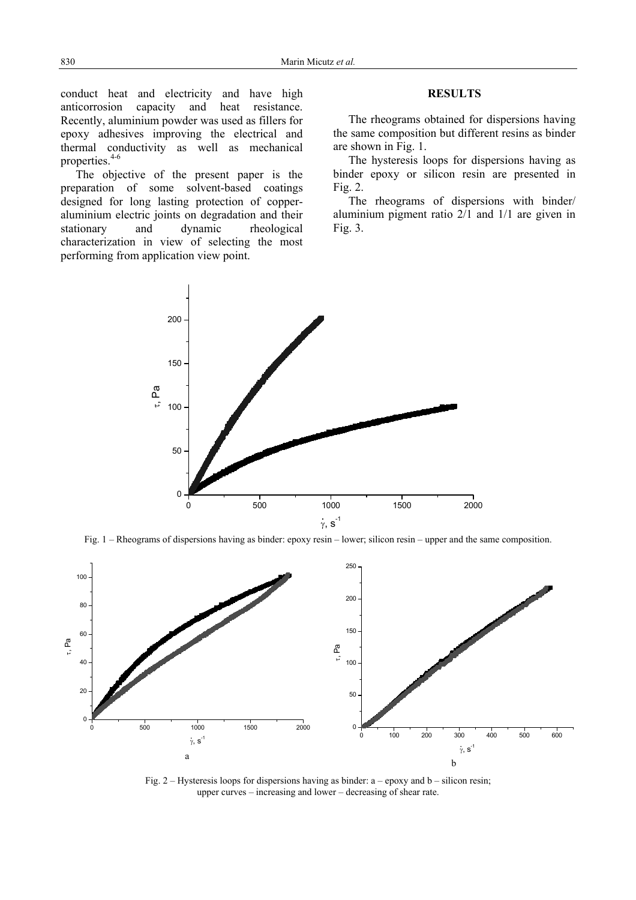conduct heat and electricity and have high anticorrosion capacity and heat resistance. Recently, aluminium powder was used as fillers for epoxy adhesives improving the electrical and thermal conductivity as well as mechanical properties.<sup>4-6</sup>

The objective of the present paper is the preparation of some solvent-based coatings designed for long lasting protection of copperaluminium electric joints on degradation and their stationary and dynamic rheological characterization in view of selecting the most performing from application view point.

## **RESULTS**

 The rheograms obtained for dispersions having the same composition but different resins as binder are shown in Fig. 1.

 The hysteresis loops for dispersions having as binder epoxy or silicon resin are presented in Fig. 2.

The rheograms of dispersions with binder/ aluminium pigment ratio 2/1 and 1/1 are given in Fig. 3.



Fig. 1 – Rheograms of dispersions having as binder: epoxy resin – lower; silicon resin – upper and the same composition.



Fig. 2 – Hysteresis loops for dispersions having as binder:  $a - e p$  and  $b - s$  silicon resing upper curves – increasing and lower – decreasing of shear rate.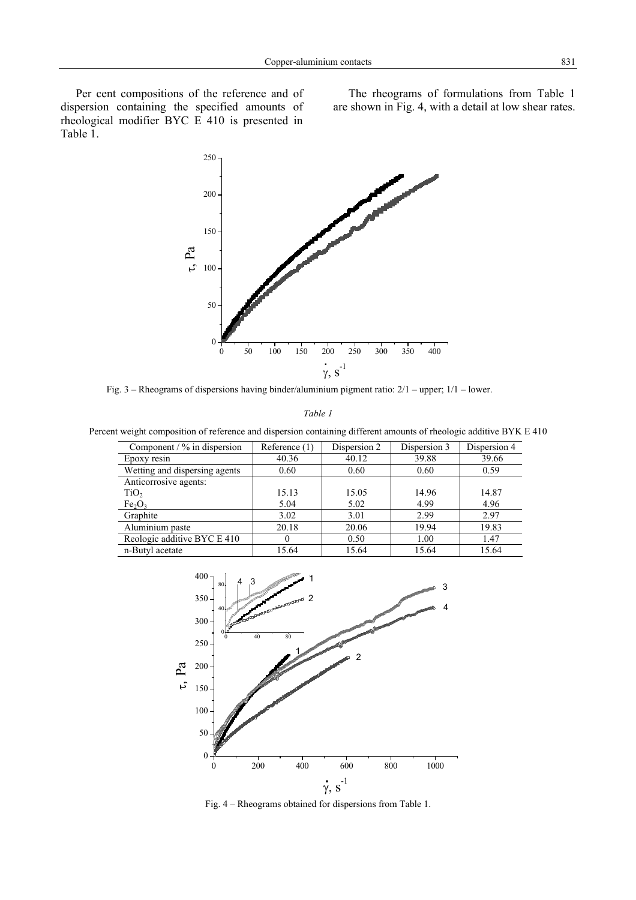Per cent compositions of the reference and of dispersion containing the specified amounts of rheological modifier BYC E 410 is presented in Table 1.

 The rheograms of formulations from Table 1 are shown in Fig. 4, with a detail at low shear rates.



Fig. 3 – Rheograms of dispersions having binder/aluminium pigment ratio: 2/1 – upper; 1/1 – lower.

*Table 1* 

Percent weight composition of reference and dispersion containing different amounts of rheologic additive BYK E 410

| Component $/$ % in dispersion  | Reference (1) | Dispersion 2 | Dispersion 3 | Dispersion 4 |
|--------------------------------|---------------|--------------|--------------|--------------|
| Epoxy resin                    | 40.36         | 40.12        | 39.88        | 39.66        |
| Wetting and dispersing agents  | 0.60          | 0.60         | 0.60         | 0.59         |
| Anticorrosive agents:          |               |              |              |              |
| TiO <sub>2</sub>               | 15.13         | 15.05        | 14.96        | 14.87        |
| Fe <sub>2</sub> O <sub>3</sub> | 5.04          | 5.02         | 4.99         | 4.96         |
| Graphite                       | 3.02          | 3.01         | 2.99         | 2.97         |
| Aluminium paste                | 20.18         | 20.06        | 19.94        | 19.83        |
| Reologic additive BYC E 410    |               | 0.50         | 1.00         | 1.47         |
| n-Butyl acetate                | 15.64         | 15.64        | 15.64        | 15.64        |



Fig. 4 – Rheograms obtained for dispersions from Table 1.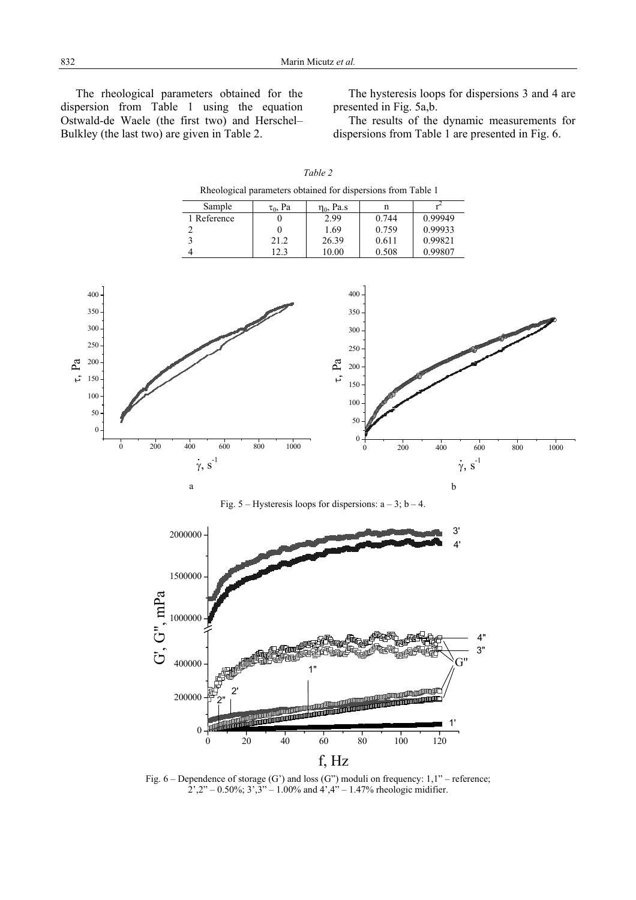*Table 2* 

 The rheological parameters obtained for the dispersion from Table 1 using the equation Ostwald-de Waele (the first two) and Herschel– Bulkley (the last two) are given in Table 2.

 The hysteresis loops for dispersions 3 and 4 are presented in Fig. 5a,b.

The results of the dynamic measurements for dispersions from Table 1 are presented in Fig. 6.

|                                                                  |                                                                   | Rheological parameters obtained for dispersions from Table 1            |                                                              |                                                 |                                                   |                           |     |      |  |  |  |
|------------------------------------------------------------------|-------------------------------------------------------------------|-------------------------------------------------------------------------|--------------------------------------------------------------|-------------------------------------------------|---------------------------------------------------|---------------------------|-----|------|--|--|--|
|                                                                  | Sample<br>1 Reference<br>$\frac{2}{3}$<br>$\overline{\mathbf{4}}$ | $\tau_0$ , Pa<br>$\overline{0}$<br>$\boldsymbol{0}$<br>$21.2\,$<br>12.3 | $\eta_0$ , Pa.s<br>2.99<br>1.69<br>26.39<br>$10.00\,$        | $\mathbf n$<br>0.744<br>0.759<br>0.611<br>0.508 | $r^2$<br>0.99949<br>0.99933<br>0.99821<br>0.99807 |                           |     |      |  |  |  |
| 400<br>350<br>300                                                |                                                                   |                                                                         | 400<br>$350\,$                                               |                                                 |                                                   |                           |     |      |  |  |  |
| 250<br>200<br>150                                                |                                                                   |                                                                         | $300\,$<br>$250\,$<br>$\mathbf{t},\mathbf{Pa}$<br>200<br>150 |                                                 |                                                   |                           |     |      |  |  |  |
| $100 \cdot$<br>$50 \,$<br>$\mathbf 0$<br>200<br>$\boldsymbol{0}$ | 400<br>600                                                        | 800<br>1000                                                             | $100\,$<br>50<br>$0 +$                                       | 200<br>$\boldsymbol{0}$                         | 400                                               | 600                       | 800 | 1000 |  |  |  |
|                                                                  | $\dot{\gamma},\,s^{\text{-}1}$<br>$\mathbf{a}$                    | Fig. 5 – Hysteresis loops for dispersions: $a - 3$ ; $b - 4$ .          |                                                              |                                                 | $\bf b$                                           | $\dot{\gamma}$ , $s^{-1}$ |     |      |  |  |  |
|                                                                  | 2000000<br>1500000                                                |                                                                         |                                                              |                                                 | 3'<br>4'                                          |                           |     |      |  |  |  |
| G", mPa                                                          | 1000000                                                           |                                                                         |                                                              |                                                 |                                                   |                           |     |      |  |  |  |
| نآ                                                               | $400000 \cdot$                                                    |                                                                         | 1"                                                           |                                                 | U                                                 | 4"<br>3"<br>Ħ             |     |      |  |  |  |
|                                                                  | $200000 -$<br>$\bf{0}$<br>20<br>$\mathbf{0}$                      | $\frac{1}{40}$                                                          | 60                                                           | $\frac{1}{100}$<br>80                           | 1'<br>120                                         |                           |     |      |  |  |  |
| f, Hz                                                            |                                                                   |                                                                         |                                                              |                                                 |                                                   |                           |     |      |  |  |  |

Fig.  $6$  – Dependence of storage (G') and loss (G'') moduli on frequency:  $1,1"$  – reference;  $2^{\degree}, 2^{\degree}, -0.50\%$ ;  $3^{\degree}, 3^{\degree}, -1.00\%$  and  $4^{\degree}, 4^{\degree}, -1.47\%$  rheologic midifier.

τ, Pa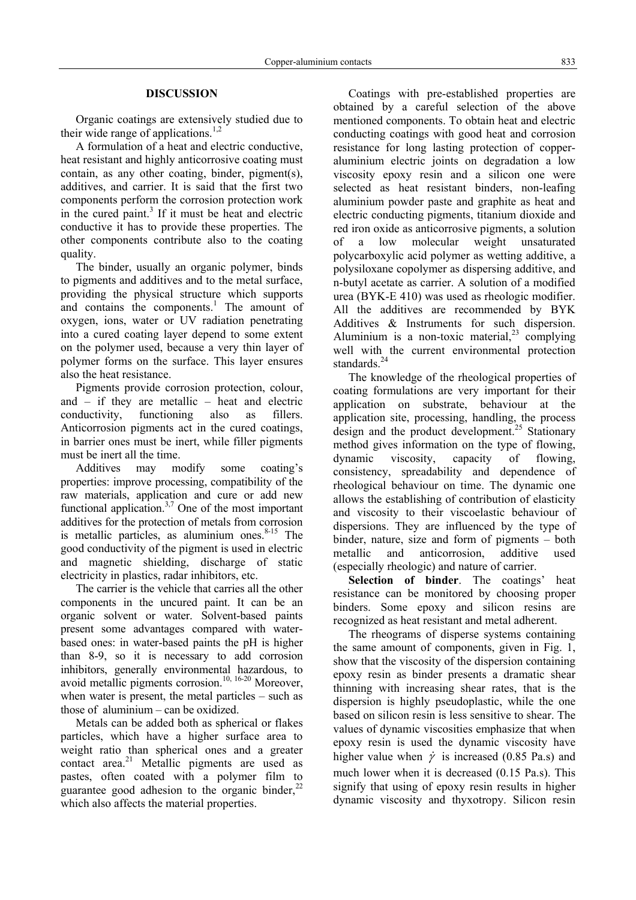# **DISCUSSION**

Organic coatings are extensively studied due to their wide range of applications.<sup>1,2</sup>

A formulation of a heat and electric conductive, heat resistant and highly anticorrosive coating must contain, as any other coating, binder, pigment(s), additives, and carrier. It is said that the first two components perform the corrosion protection work in the cured paint.<sup>3</sup> If it must be heat and electric conductive it has to provide these properties. The other components contribute also to the coating quality.

The binder, usually an organic polymer, binds to pigments and additives and to the metal surface, providing the physical structure which supports and contains the components. $\frac{1}{1}$  The amount of oxygen, ions, water or UV radiation penetrating into a cured coating layer depend to some extent on the polymer used, because a very thin layer of polymer forms on the surface. This layer ensures also the heat resistance.

Pigments provide corrosion protection, colour, and  $-$  if they are metallic  $-$  heat and electric conductivity, functioning also as fillers. Anticorrosion pigments act in the cured coatings, in barrier ones must be inert, while filler pigments must be inert all the time.

Additives may modify some coating's properties: improve processing, compatibility of the raw materials, application and cure or add new functional application.<sup>3,7</sup> One of the most important additives for the protection of metals from corrosion is metallic particles, as aluminium ones. $8-15$  The good conductivity of the pigment is used in electric and magnetic shielding, discharge of static electricity in plastics, radar inhibitors, etc.

The carrier is the vehicle that carries all the other components in the uncured paint. It can be an organic solvent or water. Solvent-based paints present some advantages compared with waterbased ones: in water-based paints the pH is higher than 8-9, so it is necessary to add corrosion inhibitors, generally environmental hazardous, to avoid metallic pigments corrosion.<sup>10, 16-20</sup> Moreover, when water is present, the metal particles – such as those of aluminium – can be oxidized.

Metals can be added both as spherical or flakes particles, which have a higher surface area to weight ratio than spherical ones and a greater contact area. $21$  Metallic pigments are used as pastes, often coated with a polymer film to guarantee good adhesion to the organic binder, $^{22}$ which also affects the material properties.

Coatings with pre-established properties are obtained by a careful selection of the above mentioned components. To obtain heat and electric conducting coatings with good heat and corrosion resistance for long lasting protection of copperaluminium electric joints on degradation a low viscosity epoxy resin and a silicon one were selected as heat resistant binders, non-leafing aluminium powder paste and graphite as heat and electric conducting pigments, titanium dioxide and red iron oxide as anticorrosive pigments, a solution of a low molecular weight unsaturated polycarboxylic acid polymer as wetting additive, a polysiloxane copolymer as dispersing additive, and n-butyl acetate as carrier. A solution of a modified urea (BYK-E 410) was used as rheologic modifier. All the additives are recommended by BYK Additives & Instruments for such dispersion. Aluminium is a non-toxic material,  $2^3$  complying well with the current environmental protection standards.<sup>24</sup>

The knowledge of the rheological properties of coating formulations are very important for their application on substrate, behaviour at the application site, processing, handling, the process design and the product development.<sup>25</sup> Stationary method gives information on the type of flowing, dynamic viscosity, capacity of flowing, consistency, spreadability and dependence of rheological behaviour on time. The dynamic one allows the establishing of contribution of elasticity and viscosity to their viscoelastic behaviour of dispersions. They are influenced by the type of binder, nature, size and form of pigments – both metallic and anticorrosion, additive used (especially rheologic) and nature of carrier.

**Selection of binder**. The coatings' heat resistance can be monitored by choosing proper binders. Some epoxy and silicon resins are recognized as heat resistant and metal adherent.

The rheograms of disperse systems containing the same amount of components, given in Fig. 1, show that the viscosity of the dispersion containing epoxy resin as binder presents a dramatic shear thinning with increasing shear rates, that is the dispersion is highly pseudoplastic, while the one based on silicon resin is less sensitive to shear. The values of dynamic viscosities emphasize that when epoxy resin is used the dynamic viscosity have higher value when  $\dot{\gamma}$  is increased (0.85 Pa.s) and much lower when it is decreased (0.15 Pa.s). This signify that using of epoxy resin results in higher dynamic viscosity and thyxotropy. Silicon resin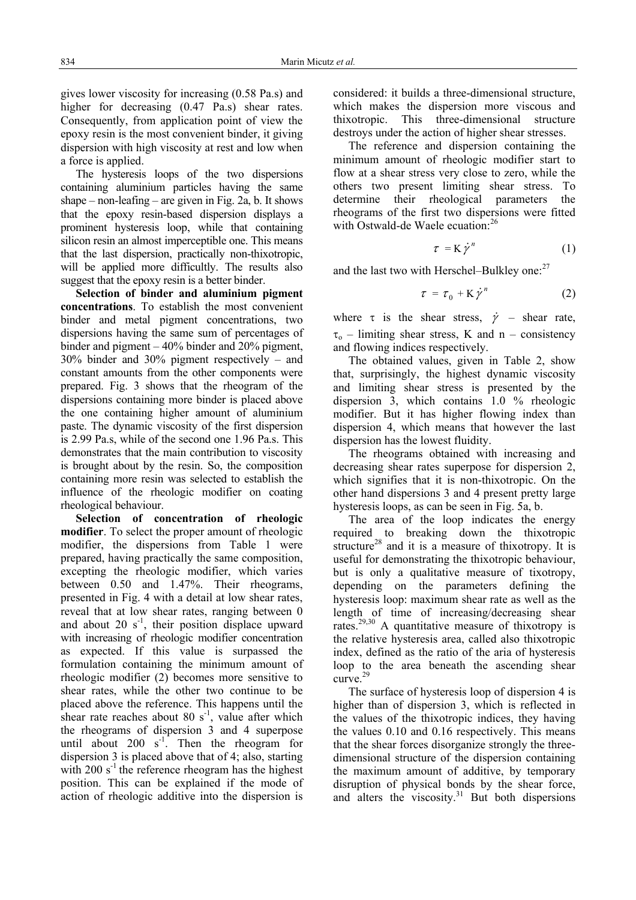gives lower viscosity for increasing (0.58 Pa.s) and higher for decreasing  $(0.47 \text{ Pa.s})$  shear rates. Consequently, from application point of view the epoxy resin is the most convenient binder, it giving dispersion with high viscosity at rest and low when a force is applied.

The hysteresis loops of the two dispersions containing aluminium particles having the same shape – non-leafing – are given in Fig. 2a, b. It shows that the epoxy resin-based dispersion displays a prominent hysteresis loop, while that containing silicon resin an almost imperceptible one. This means that the last dispersion, practically non-thixotropic, will be applied more difficultly. The results also suggest that the epoxy resin is a better binder.

**Selection of binder and aluminium pigment concentrations**. To establish the most convenient binder and metal pigment concentrations, two dispersions having the same sum of percentages of binder and pigment – 40% binder and 20% pigment, 30% binder and 30% pigment respectively – and constant amounts from the other components were prepared. Fig. 3 shows that the rheogram of the dispersions containing more binder is placed above the one containing higher amount of aluminium paste. The dynamic viscosity of the first dispersion is 2.99 Pa.s, while of the second one 1.96 Pa.s. This demonstrates that the main contribution to viscosity is brought about by the resin. So, the composition containing more resin was selected to establish the influence of the rheologic modifier on coating rheological behaviour.

**Selection of concentration of rheologic modifier**. To select the proper amount of rheologic modifier, the dispersions from Table 1 were prepared, having practically the same composition, excepting the rheologic modifier, which varies between 0.50 and 1.47%. Their rheograms, presented in Fig. 4 with a detail at low shear rates, reveal that at low shear rates, ranging between 0 and about  $20 s<sup>-1</sup>$ , their position displace upward with increasing of rheologic modifier concentration as expected. If this value is surpassed the formulation containing the minimum amount of rheologic modifier (2) becomes more sensitive to shear rates, while the other two continue to be placed above the reference. This happens until the shear rate reaches about 80  $s^{-1}$ , value after which the rheograms of dispersion 3 and 4 superpose until about 200  $s^{-1}$ . Then the rheogram for dispersion 3 is placed above that of 4; also, starting with  $200 s<sup>-1</sup>$  the reference rheogram has the highest position. This can be explained if the mode of action of rheologic additive into the dispersion is

considered: it builds a three-dimensional structure, which makes the dispersion more viscous and thixotropic. This three-dimensional structure destroys under the action of higher shear stresses.

The reference and dispersion containing the minimum amount of rheologic modifier start to flow at a shear stress very close to zero, while the others two present limiting shear stress. To determine their rheological parameters the rheograms of the first two dispersions were fitted with Ostwald-de Waele ecuation:<sup>26</sup>

$$
\tau = K \dot{\gamma}^n \tag{1}
$$

and the last two with Herschel–Bulkley one: $27$ 

$$
\tau = \tau_0 + \mathbf{K} \dot{\gamma}^n \tag{2}
$$

where  $\tau$  is the shear stress,  $\dot{\gamma}$  – shear rate,  $\tau_0$  – limiting shear stress, K and n – consistency and flowing indices respectively.

The obtained values, given in Table 2, show that, surprisingly, the highest dynamic viscosity and limiting shear stress is presented by the dispersion 3, which contains 1.0 % rheologic modifier. But it has higher flowing index than dispersion 4, which means that however the last dispersion has the lowest fluidity.

The rheograms obtained with increasing and decreasing shear rates superpose for dispersion 2, which signifies that it is non-thixotropic. On the other hand dispersions 3 and 4 present pretty large hysteresis loops, as can be seen in Fig. 5a, b.

The area of the loop indicates the energy required to breaking down the thixotropic structure<sup>28</sup> and it is a measure of thixotropy. It is useful for demonstrating the thixotropic behaviour, but is only a qualitative measure of tixotropy, depending on the parameters defining the hysteresis loop: maximum shear rate as well as the length of time of increasing/decreasing shear rates.29,30 A quantitative measure of thixotropy is the relative hysteresis area, called also thixotropic index, defined as the ratio of the aria of hysteresis loop to the area beneath the ascending shear curve<sup>29</sup>

The surface of hysteresis loop of dispersion 4 is higher than of dispersion 3, which is reflected in the values of the thixotropic indices, they having the values 0.10 and 0.16 respectively. This means that the shear forces disorganize strongly the threedimensional structure of the dispersion containing the maximum amount of additive, by temporary disruption of physical bonds by the shear force, and alters the viscosity. $31$  But both dispersions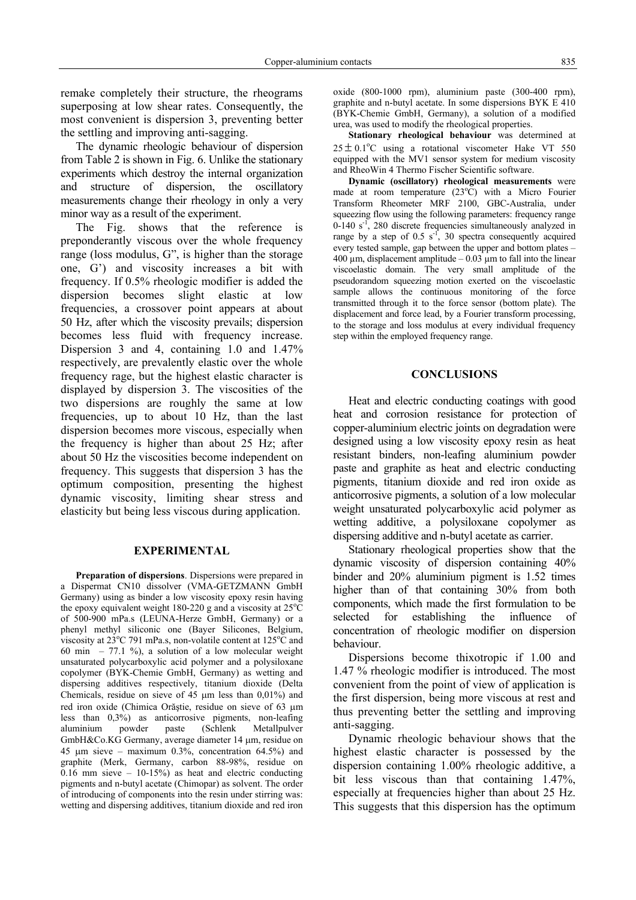remake completely their structure, the rheograms superposing at low shear rates. Consequently, the most convenient is dispersion 3, preventing better the settling and improving anti-sagging.

The dynamic rheologic behaviour of dispersion from Table 2 is shown in Fig. 6. Unlike the stationary experiments which destroy the internal organization and structure of dispersion, the oscillatory measurements change their rheology in only a very minor way as a result of the experiment.

The Fig. shows that the reference is preponderantly viscous over the whole frequency range (loss modulus, G", is higher than the storage one, G') and viscosity increases a bit with frequency. If 0.5% rheologic modifier is added the dispersion becomes slight elastic at low frequencies, a crossover point appears at about 50 Hz, after which the viscosity prevails; dispersion becomes less fluid with frequency increase. Dispersion 3 and 4, containing 1.0 and 1.47% respectively, are prevalently elastic over the whole frequency rage, but the highest elastic character is displayed by dispersion 3. The viscosities of the two dispersions are roughly the same at low frequencies, up to about 10 Hz, than the last dispersion becomes more viscous, especially when the frequency is higher than about 25 Hz; after about 50 Hz the viscosities become independent on frequency. This suggests that dispersion 3 has the optimum composition, presenting the highest dynamic viscosity, limiting shear stress and elasticity but being less viscous during application.

#### **EXPERIMENTAL**

**Preparation of dispersions**. Dispersions were prepared in a Dispermat CN10 dissolver (VMA-GETZMANN GmbH Germany) using as binder a low viscosity epoxy resin having the epoxy equivalent weight 180-220 g and a viscosity at  $25^{\circ}$ C of 500-900 mPa.s (LEUNA-Herze GmbH, Germany) or a phenyl methyl siliconic one (Bayer Silicones, Belgium, viscosity at  $23^{\circ}$ C 791 mPa.s, non-volatile content at  $125^{\circ}$ C and 60 min – 77.1 %), a solution of a low molecular weight unsaturated polycarboxylic acid polymer and a polysiloxane copolymer (BYK-Chemie GmbH, Germany) as wetting and dispersing additives respectively, titanium dioxide (Delta Chemicals, residue on sieve of 45 µm less than 0,01%) and red iron oxide (Chimica Orăştie, residue on sieve of 63 µm less than 0,3%) as anticorrosive pigments, non-leafing aluminium powder paste (Schlenk Metallpulver GmbH&Co.KG Germany, average diameter 14 µm, residue on 45  $\mu$ m sieve – maximum 0.3%, concentration 64.5%) and graphite (Merk, Germany, carbon 88-98%, residue on  $0.16$  mm sieve  $-10-15%$  as heat and electric conducting pigments and n-butyl acetate (Chimopar) as solvent. The order of introducing of components into the resin under stirring was: wetting and dispersing additives, titanium dioxide and red iron oxide (800-1000 rpm), aluminium paste (300-400 rpm), graphite and n-butyl acetate. In some dispersions BYK E 410 (BYK-Chemie GmbH, Germany), a solution of a modified urea, was used to modify the rheological properties.

**Stationary rheological behaviour** was determined at  $25 \pm 0.1$ °C using a rotational viscometer Hake VT 550 equipped with the MV1 sensor system for medium viscosity and RheoWin 4 Thermo Fischer Scientific software.

**Dynamic (oscillatory) rheological measurements** were made at room temperature  $(23^{\circ}\text{C})$  with a Micro Fourier Transform Rheometer MRF 2100, GBC-Australia, under squeezing flow using the following parameters: frequency range  $0-140$  s<sup>-1</sup>, 280 discrete frequencies simultaneously analyzed in range by a step of  $0.5 \text{ s}^{-1}$ , 30 spectra consequently acquired every tested sample, gap between the upper and bottom plates – 400  $\mu$ m, displacement amplitude – 0.03  $\mu$ m to fall into the linear viscoelastic domain. The very small amplitude of the pseudorandom squeezing motion exerted on the viscoelastic sample allows the continuous monitoring of the force transmitted through it to the force sensor (bottom plate). The displacement and force lead, by a Fourier transform processing, to the storage and loss modulus at every individual frequency step within the employed frequency range.

## **CONCLUSIONS**

Heat and electric conducting coatings with good heat and corrosion resistance for protection of copper-aluminium electric joints on degradation were designed using a low viscosity epoxy resin as heat resistant binders, non-leafing aluminium powder paste and graphite as heat and electric conducting pigments, titanium dioxide and red iron oxide as anticorrosive pigments, a solution of a low molecular weight unsaturated polycarboxylic acid polymer as wetting additive, a polysiloxane copolymer as dispersing additive and n-butyl acetate as carrier.

Stationary rheological properties show that the dynamic viscosity of dispersion containing 40% binder and 20% aluminium pigment is 1.52 times higher than of that containing 30% from both components, which made the first formulation to be selected for establishing the influence of concentration of rheologic modifier on dispersion behaviour.

Dispersions become thixotropic if 1.00 and 1.47 % rheologic modifier is introduced. The most convenient from the point of view of application is the first dispersion, being more viscous at rest and thus preventing better the settling and improving anti-sagging.

Dynamic rheologic behaviour shows that the highest elastic character is possessed by the dispersion containing 1.00% rheologic additive, a bit less viscous than that containing 1.47%, especially at frequencies higher than about 25 Hz. This suggests that this dispersion has the optimum